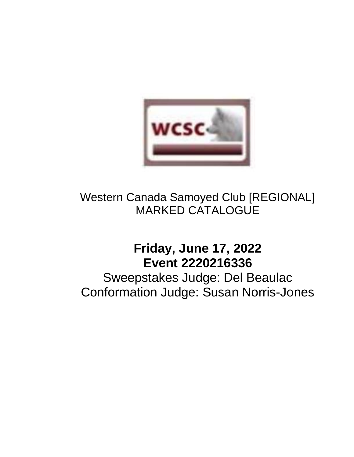

# Western Canada Samoyed Club [REGIONAL] MARKED CATALOGUE

# **Friday, June 17, 2022 Event 2220216336**

Sweepstakes Judge: Del Beaulac Conformation Judge: Susan Norris-Jones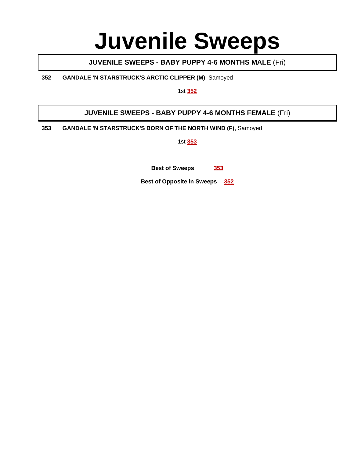# **Juvenile Sweeps**

# **JUVENILE SWEEPS - BABY PUPPY 4-6 MONTHS MALE** (Fri)

**352 GANDALE 'N STARSTRUCK'S ARCTIC CLIPPER (M)**, Samoyed

1st **352**

# **JUVENILE SWEEPS - BABY PUPPY 4-6 MONTHS FEMALE** (Fri)

**353 GANDALE 'N STARSTRUCK'S BORN OF THE NORTH WIND (F)**, Samoyed

1st **353**

**Best of Sweeps 353**

**Best of Opposite in Sweeps 352**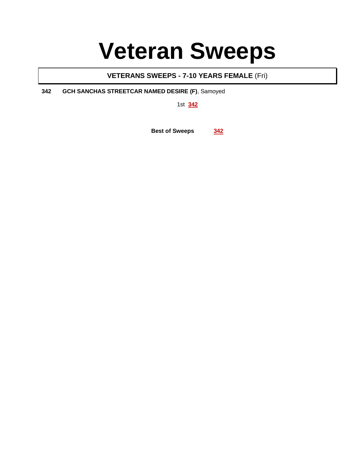# **Veteran Sweeps**

# **VETERANS SWEEPS - 7-10 YEARS FEMALE** (Fri)

**342 GCH SANCHAS STREETCAR NAMED DESIRE (F)**, Samoyed

1st **342**

**Best of Sweeps 342**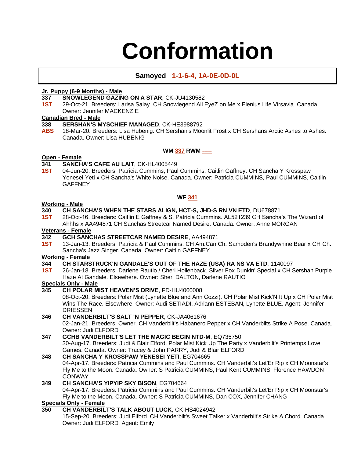# **Conformation**

## **Samoyed 1-1-6-4, 1A-0E-0D-0L**

### **Jr. Puppy (6-9 Months) - Male**

# **337 SNOWLEGEND GAZING ON A STAR, CK-JU4130582<br><b>1ST** 29-Oct-21. Breeders: Larisa Salav. CH Snowlegend All E

**1ST** 29-Oct-21. Breeders: Larisa Salay. CH Snowlegend All EyeZ on Me x Elenius Life Virsavia. Canada. Owner: Jennifer MACKENZIE

# **Canadian Bred - Male**

## **338 SERSHAN'S MYSCHIEF MANAGED**, CK-HE3988792

**ABS** 18-Mar-20. Breeders: Lisa Hubenig. CH Sershan's Moonlit Frost x CH Sershans Arctic Ashes to Ashes. Canada. Owner: Lisa HUBENIG

#### **WM 337 RWM -----**

# **Open - Female**

### **341 SANCHA'S CAFE AU LAIT**, CK-HL4005449

**1ST** 04-Jun-20. Breeders: Patricia Cummins, Paul Cummins, Caitlin Gaffney. CH Sancha Y Krosspaw Yenesei Yeti x CH Sancha's White Noise. Canada. Owner: Patricia CUMMINS, Paul CUMMINS, Caitlin **GAFFNEY** 

#### **WF 341**

# **Working - Male**

### **340 CH SANCHA'S WHEN THE STARS ALIGN, HCT-S, JHD-S RN VN ETD**, DU678871

**1ST** 28-Oct-16. Breeders: Caitlin E Gaffney & S. Patricia Cummins. AL521239 CH Sancha's The Wizard of Ahhhs x AA494871 CH Sanchas Streetcar Named Desire. Canada. Owner: Anne MORGAN

# **Veterans - Female**

- **342 GCH SANCHAS STREETCAR NAMED DESIRE**, AA494871
- **1ST** 13-Jan-13. Breeders: Patricia & Paul Cummins. CH Am.Can.Ch. Samoden's Brandywhine Bear x CH Ch. Sancha's Jazz Singer. Canada. Owner: Caitlin GAFFNEY

#### **Working - Female**

## **344 CH STARSTRUCK'N GANDALE'S OUT OF THE HAZE (USA) RA NS VA ETD**, 1140097

**1ST** 26-Jan-18. Breeders: Darlene Rautio / Cheri Hollenback. Silver Fox Dunkin' Special x CH Sershan Purple Haze At Gandale. Elsewhere. Owner: Sheri DALTON, Darlene RAUTIO

# **Specials Only - Male**

## **345 CH POLAR MIST HEAVEN'S DRIVE**, FD-HU4060008

08-Oct-20. Breeders: Polar Mist (Lynette Blue and Ann Cozzi). CH Polar Mist Kick'N It Up x CH Polar Mist Wins The Race. Elsewhere. Owner: Audi SETIADI, Adriann ESTEBAN, Lynette BLUE. Agent: Jennifer DRIESSEN

## **346 CH VANDERBILT'S SALT 'N PEPPER**, CK-JA4061676

02-Jan-21. Breeders: Owner. CH Vanderbilt's Habanero Pepper x CH Vanderbilts Strike A Pose. Canada. Owner: Judi ELFORD

# **347 GCHB VANDERBILT'S LET THE MAGIC BEGIN NTD-M**, EQ735750

30-Aug-17. Breeders: Judi & Blair Elford. Polar Mist Kick Up The Party x Vanderbilt's Printemps Love Games. Canada. Owner: Tracey & John PARRY, Judi & Blair ELFORD

# **348 CH SANCHA Y KROSSPAW YENESEI YETI**, EG704665

04-Apr-17. Breeders: Patricia Cummins and Paul Cummins. CH Vanderbilt's Let'Er Rip x CH Moonstar's Fly Me to the Moon. Canada. Owner: S Patricia CUMMINS, Paul Kent CUMMINS, Florence HAWDON **CONWAY** 

## **349 CH SANCHA'S YIPYIP SKY BISON**, EG704664

04-Apr-17. Breeders: Patricia Cummins and Paul Cummins. CH Vanderbilt's Let'Er Rip x CH Moonstar's Fly Me to the Moon. Canada. Owner: S Patricia CUMMINS, Dan COX, Jennifer CHANG

## **Specials Only - Female**

# **350 CH VANDERBILT'S TALK ABOUT LUCK**, CK-HS4024942

15-Sep-20. Breeders: Judi Elford. CH Vanderbilt's Sweet Talker x Vanderbilt's Strike A Chord. Canada. Owner: Judi ELFORD. Agent: Emily